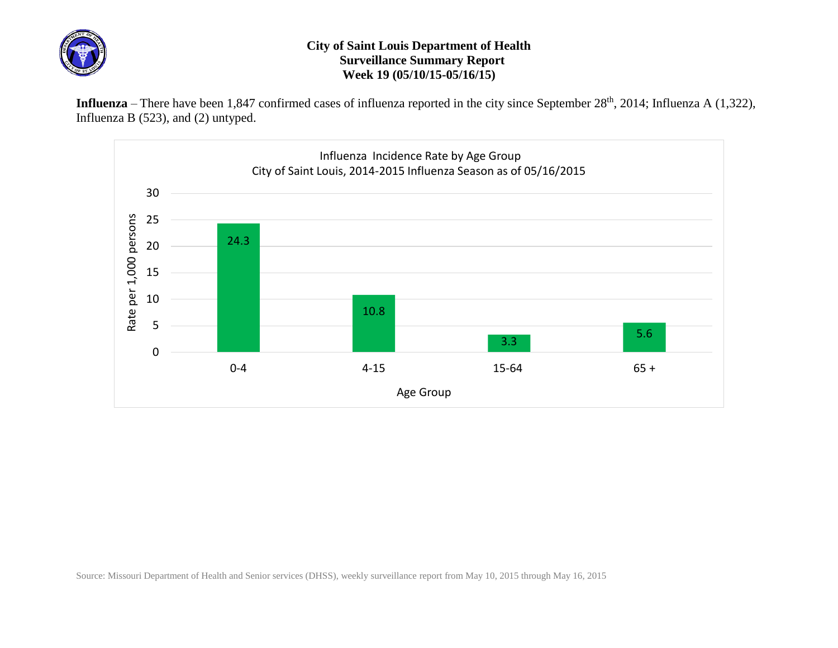

## **City of Saint Louis Department of Health Surveillance Summary Report Week 19 (05/10/15-05/16/15)**

Influenza – There have been 1,847 confirmed cases of influenza reported in the city since September 28<sup>th</sup>, 2014; Influenza A (1,322), Influenza B (523), and (2) untyped.